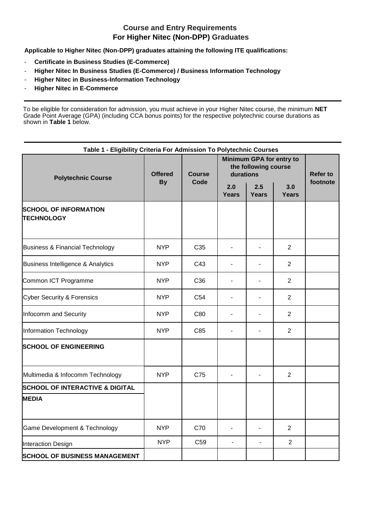## **Course and Entry Requirements For Higher Nitec (Non-DPP) Graduates**

**Applicable to Higher Nitec (Non-DPP) graduates attaining the following ITE qualifications:** 

- **Certificate in Business Studies (E-Commerce)**
- **Higher Nitec In Business Studies (E-Commerce) / Business Information Technology**
- **Higher Nitec in Business-Information Technology**
- **Higher Nitec in E-Commerce**

To be eligible for consideration for admission, you must achieve in your Higher Nitec course, the minimum **NET**  Grade Point Average (GPA) (including CCA bonus points) for the respective polytechnic course durations as shown in **Table 1** below.

| Table 1 - Eligibility Criteria For Admission To Polytechnic Courses |                             |                       |                                                               |                          |                     |                 |  |  |  |
|---------------------------------------------------------------------|-----------------------------|-----------------------|---------------------------------------------------------------|--------------------------|---------------------|-----------------|--|--|--|
| <b>Polytechnic Course</b>                                           | <b>Offered</b><br><b>By</b> | <b>Course</b><br>Code | Minimum GPA for entry to<br>the following course<br>durations |                          |                     | <b>Refer to</b> |  |  |  |
|                                                                     |                             |                       | 2.0<br><b>Years</b>                                           | 2.5<br><b>Years</b>      | 3.0<br><b>Years</b> | footnote        |  |  |  |
| <b>SCHOOL OF INFORMATION</b><br><b>TECHNOLOGY</b>                   |                             |                       |                                                               |                          |                     |                 |  |  |  |
| <b>Business &amp; Financial Technology</b>                          | <b>NYP</b>                  | C <sub>35</sub>       | $\overline{a}$                                                |                          | $\overline{2}$      |                 |  |  |  |
| Business Intelligence & Analytics                                   | <b>NYP</b>                  | C43                   | ٠                                                             |                          | $\overline{2}$      |                 |  |  |  |
| Common ICT Programme                                                | <b>NYP</b>                  | C <sub>36</sub>       |                                                               |                          | $\overline{2}$      |                 |  |  |  |
| <b>Cyber Security &amp; Forensics</b>                               | <b>NYP</b>                  | C <sub>54</sub>       | L.                                                            |                          | $\overline{2}$      |                 |  |  |  |
| Infocomm and Security                                               | <b>NYP</b>                  | C80                   |                                                               |                          | $\overline{2}$      |                 |  |  |  |
| Information Technology                                              | <b>NYP</b>                  | C85                   |                                                               |                          | $\overline{2}$      |                 |  |  |  |
| <b>SCHOOL OF ENGINEERING</b>                                        |                             |                       |                                                               |                          |                     |                 |  |  |  |
| Multimedia & Infocomm Technology                                    | <b>NYP</b>                  | C75                   | ٠                                                             |                          | 2                   |                 |  |  |  |
| <b>SCHOOL OF INTERACTIVE &amp; DIGITAL</b>                          |                             |                       |                                                               |                          |                     |                 |  |  |  |
| <b>MEDIA</b>                                                        |                             |                       |                                                               |                          |                     |                 |  |  |  |
| Game Development & Technology                                       | <b>NYP</b>                  | C70                   |                                                               |                          | $\overline{2}$      |                 |  |  |  |
| Interaction Design                                                  | <b>NYP</b>                  | C <sub>59</sub>       | $\overline{a}$                                                | $\overline{\phantom{0}}$ | $\overline{2}$      |                 |  |  |  |
| <b>SCHOOL OF BUSINESS MANAGEMENT</b>                                |                             |                       |                                                               |                          |                     |                 |  |  |  |